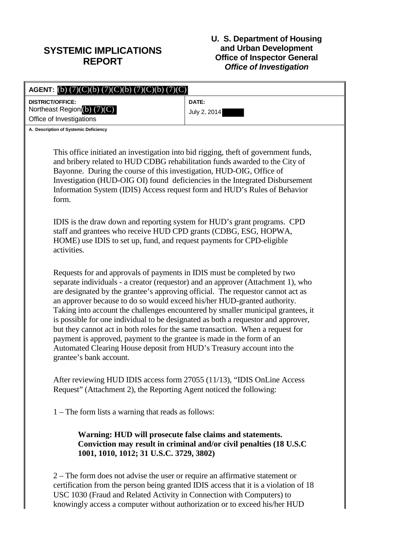## **SYSTEMIC IMPLICATIONS REPORT**

## **U. S. Department of Housing and Urban Development Office of Inspector General** *Office of Investigation*

| <b>AGENT:</b> (b) $(7)(C)(b) (7)(C)(b) (7)(C)(b) (7)(C)$                                                                                                                                                                                                                                                                                                                                                                                                                                                                                                                                                                                                                                                                                                           |                                                                     |
|--------------------------------------------------------------------------------------------------------------------------------------------------------------------------------------------------------------------------------------------------------------------------------------------------------------------------------------------------------------------------------------------------------------------------------------------------------------------------------------------------------------------------------------------------------------------------------------------------------------------------------------------------------------------------------------------------------------------------------------------------------------------|---------------------------------------------------------------------|
| <b>DISTRICT/OFFICE:</b>                                                                                                                                                                                                                                                                                                                                                                                                                                                                                                                                                                                                                                                                                                                                            | DATE:                                                               |
| Northeast Region (b) (7)(C)<br>Office of Investigations                                                                                                                                                                                                                                                                                                                                                                                                                                                                                                                                                                                                                                                                                                            | July 2, 2014                                                        |
| A. Description of Systemic Deficiency                                                                                                                                                                                                                                                                                                                                                                                                                                                                                                                                                                                                                                                                                                                              |                                                                     |
|                                                                                                                                                                                                                                                                                                                                                                                                                                                                                                                                                                                                                                                                                                                                                                    |                                                                     |
| This office initiated an investigation into bid rigging, theft of government funds,<br>and bribery related to HUD CDBG rehabilitation funds awarded to the City of<br>Bayonne. During the course of this investigation, HUD-OIG, Office of<br>Investigation (HUD-OIG OI) found deficiencies in the Integrated Disbursement<br>Information System (IDIS) Access request form and HUD's Rules of Behavior<br>form.                                                                                                                                                                                                                                                                                                                                                   |                                                                     |
| IDIS is the draw down and reporting system for HUD's grant programs. CPD<br>staff and grantees who receive HUD CPD grants (CDBG, ESG, HOPWA,<br>HOME) use IDIS to set up, fund, and request payments for CPD-eligible<br>activities.                                                                                                                                                                                                                                                                                                                                                                                                                                                                                                                               |                                                                     |
| Requests for and approvals of payments in IDIS must be completed by two<br>separate individuals - a creator (requestor) and an approver (Attachment 1), who<br>are designated by the grantee's approving official. The requestor cannot act as<br>an approver because to do so would exceed his/her HUD-granted authority.<br>Taking into account the challenges encountered by smaller municipal grantees, it<br>is possible for one individual to be designated as both a requestor and approver,<br>but they cannot act in both roles for the same transaction. When a request for<br>payment is approved, payment to the grantee is made in the form of an<br>Automated Clearing House deposit from HUD's Treasury account into the<br>grantee's bank account. |                                                                     |
| After reviewing HUD IDIS access form 27055 (11/13), "IDIS OnLine Access<br>Request" (Attachment 2), the Reporting Agent noticed the following:                                                                                                                                                                                                                                                                                                                                                                                                                                                                                                                                                                                                                     |                                                                     |
| 1 – The form lists a warning that reads as follows:                                                                                                                                                                                                                                                                                                                                                                                                                                                                                                                                                                                                                                                                                                                |                                                                     |
| Warning: HUD will prosecute false claims and statements.<br>1001, 1010, 1012; 31 U.S.C. 3729, 3802)                                                                                                                                                                                                                                                                                                                                                                                                                                                                                                                                                                                                                                                                | Conviction may result in criminal and/or civil penalties (18 U.S.C) |
| $2$ – The form does not advise the user or require an affirmative statement or<br>certification from the person being granted IDIS access that it is a violation of 18                                                                                                                                                                                                                                                                                                                                                                                                                                                                                                                                                                                             |                                                                     |

certification from the person being granted IDIS access that it is a violation of 18 USC 1030 (Fraud and Related Activity in Connection with Computers) to knowingly access a computer without authorization or to exceed his/her HUD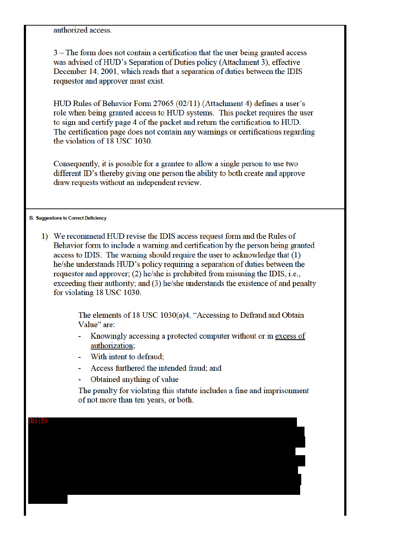authorized access.

3 – The form does not contain a certification that the user being granted access was advised of HUD's Separation of Duties policy (Attachment 3), effective December 14, 2001, which reads that a separation of duties between the IDIS requestor and approver must exist.

HUD Rules of Behavior Form 27065 (02/11) (Attachment 4) defines a user's role when being granted access to HUD systems. This packet requires the user to sign and certify page 4 of the packet and return the certification to HUD. The certification page does not contain any warnings or certifications regarding the violation of 18 USC 1030.

Consequently, it is possible for a grantee to allow a single person to use two different ID's thereby giving one person the ability to both create and approve draw requests without an independent review.

**B. Suggestions to Correct Deficiency** 

1) We recommend HUD revise the IDIS access request form and the Rules of Behavior form to include a warning and certification by the person being granted access to IDIS. The warning should require the user to acknowledge that  $(1)$ he/she understands HUD's policy requiring a separation of duties between the requestor and approver; (2) he/she is prohibited from misusing the IDIS, i.e., exceeding their authority; and (3) he/she understands the existence of and penalty for violating 18 USC 1030.

> The elements of 18 USC 1030(a)4, "Accessing to Defraud and Obtain Value" are:

- Knowingly accessing a protected computer without or in excess of authorization;
- With intent to defraud:
- Access furthered the intended fraud; and
- Obtained anything of value

The penalty for violating this statute includes a fine and imprisonment of not more than ten years, or both.